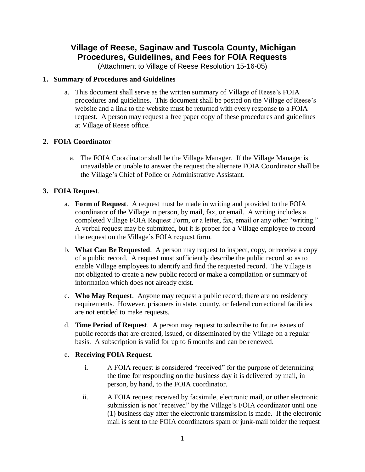# **Village of Reese, Saginaw and Tuscola County, Michigan Procedures, Guidelines, and Fees for FOIA Requests**

(Attachment to Village of Reese Resolution 15-16-05)

#### **1. Summary of Procedures and Guidelines**

a. This document shall serve as the written summary of Village of Reese's FOIA procedures and guidelines. This document shall be posted on the Village of Reese's website and a link to the website must be returned with every response to a FOIA request. A person may request a free paper copy of these procedures and guidelines at Village of Reese office.

# **2. FOIA Coordinator**

a. The FOIA Coordinator shall be the Village Manager. If the Village Manager is unavailable or unable to answer the request the alternate FOIA Coordinator shall be the Village's Chief of Police or Administrative Assistant.

# **3. FOIA Request**.

- a. **Form of Request**. A request must be made in writing and provided to the FOIA coordinator of the Village in person, by mail, fax, or email. A writing includes a completed Village FOIA Request Form, or a letter, fax, email or any other "writing." A verbal request may be submitted, but it is proper for a Village employee to record the request on the Village's FOIA request form.
- b. **What Can Be Requested**. A person may request to inspect, copy, or receive a copy of a public record. A request must sufficiently describe the public record so as to enable Village employees to identify and find the requested record. The Village is not obligated to create a new public record or make a compilation or summary of information which does not already exist.
- c. **Who May Request**. Anyone may request a public record; there are no residency requirements. However, prisoners in state, county, or federal correctional facilities are not entitled to make requests.
- d. **Time Period of Request**. A person may request to subscribe to future issues of public records that are created, issued, or disseminated by the Village on a regular basis. A subscription is valid for up to 6 months and can be renewed.

# e. **Receiving FOIA Request**.

- i. A FOIA request is considered "received" for the purpose of determining the time for responding on the business day it is delivered by mail, in person, by hand, to the FOIA coordinator.
- ii. A FOIA request received by facsimile, electronic mail, or other electronic submission is not "received" by the Village's FOIA coordinator until one (1) business day after the electronic transmission is made. If the electronic mail is sent to the FOIA coordinators spam or junk-mail folder the request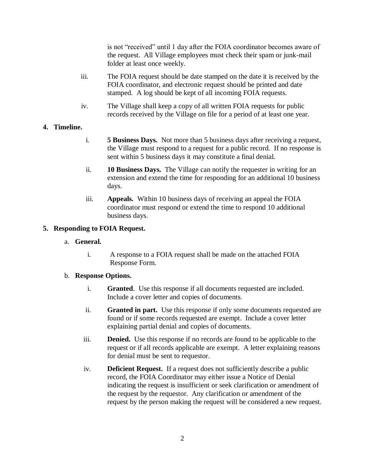is not "received" until 1 day after the FOIA coordinator becomes aware of the request. All Village employees must check their spam or junk-mail folder at least once weekly.

- iii. The FOIA request should be date stamped on the date it is received by the FOIA coordinator, and electronic request should be printed and date stamped. A log should be kept of all incoming FOIA requests.
- iv. The Village shall keep a copy of all written FOIA requests for public records received by the Village on file for a period of at least one year.

#### **4. Timeline.**

- i. **5 Business Days.** Not more than 5 business days after receiving a request, the Village must respond to a request for a public record. If no response is sent within 5 business days it may constitute a final denial.
- ii. **10 Business Days.** The Village can notify the requester in writing for an extension and extend the time for responding for an additional 10 business days.
- iii. **Appeals.** Within 10 business days of receiving an appeal the FOIA coordinator must respond or extend the time to respond 10 additional business days.

#### **5. Responding to FOIA Request.**

- a. **General.**
	- i. A response to a FOIA request shall be made on the attached FOIA Response Form.

#### b. **Response Options.**

- i. **Granted**. Use this response if all documents requested are included. Include a cover letter and copies of documents.
- ii. **Granted in part.** Use this response if only some documents requested are found or if some records requested are exempt. Include a cover letter explaining partial denial and copies of documents.
- iii. **Denied.** Use this response if no records are found to be applicable to the request or if all records applicable are exempt. A letter explaining reasons for denial must be sent to requestor.
- iv. **Deficient Request.** If a request does not sufficiently describe a public record, the FOIA Coordinator may either issue a Notice of Denial indicating the request is insufficient or seek clarification or amendment of the request by the requestor. Any clarification or amendment of the request by the person making the request will be considered a new request.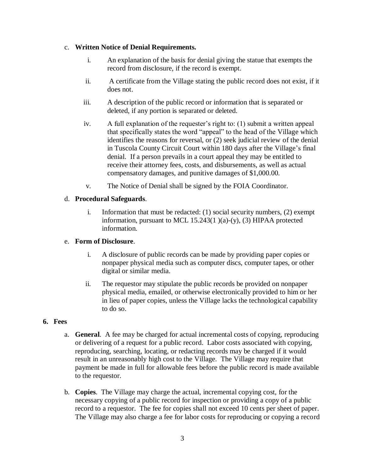#### c. **Written Notice of Denial Requirements.**

- i. An explanation of the basis for denial giving the statue that exempts the record from disclosure, if the record is exempt.
- ii. A certificate from the Village stating the public record does not exist, if it does not.
- iii. A description of the public record or information that is separated or deleted, if any portion is separated or deleted.
- iv. A full explanation of the requester's right to: (1) submit a written appeal that specifically states the word "appeal" to the head of the Village which identifies the reasons for reversal, or (2) seek judicial review of the denial in Tuscola County Circuit Court within 180 days after the Village's final denial. If a person prevails in a court appeal they may be entitled to receive their attorney fees, costs, and disbursements, as well as actual compensatory damages, and punitive damages of \$1,000.00.
- v. The Notice of Denial shall be signed by the FOIA Coordinator.

# d. **Procedural Safeguards**.

i. Information that must be redacted: (1) social security numbers, (2) exempt information, pursuant to MCL 15.243(1 )(a)-(y), (3) HIPAA protected information.

# e. **Form of Disclosure**.

- i. A disclosure of public records can be made by providing paper copies or nonpaper physical media such as computer discs, computer tapes, or other digital or similar media.
- ii. The requestor may stipulate the public records be provided on nonpaper physical media, emailed, or otherwise electronically provided to him or her in lieu of paper copies, unless the Village lacks the technological capability to do so.

#### **6. Fees**

- a. **General**. A fee may be charged for actual incremental costs of copying, reproducing or delivering of a request for a public record. Labor costs associated with copying, reproducing, searching, locating, or redacting records may be charged if it would result in an unreasonably high cost to the Village. The Village may require that payment be made in full for allowable fees before the public record is made available to the requestor.
- b. **Copies**. The Village may charge the actual, incremental copying cost, for the necessary copying of a public record for inspection or providing a copy of a public record to a requestor. The fee for copies shall not exceed 10 cents per sheet of paper. The Village may also charge a fee for labor costs for reproducing or copying a record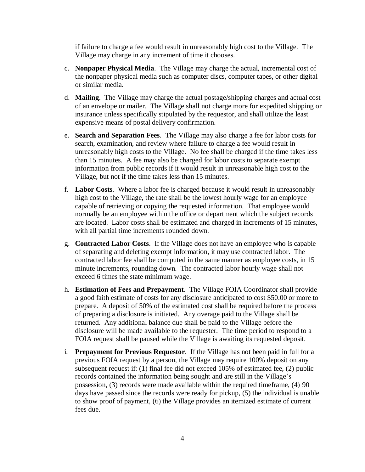if failure to charge a fee would result in unreasonably high cost to the Village. The Village may charge in any increment of time it chooses.

- c. **Nonpaper Physical Media**. The Village may charge the actual, incremental cost of the nonpaper physical media such as computer discs, computer tapes, or other digital or similar media.
- d. **Mailing**. The Village may charge the actual postage/shipping charges and actual cost of an envelope or mailer. The Village shall not charge more for expedited shipping or insurance unless specifically stipulated by the requestor, and shall utilize the least expensive means of postal delivery confirmation.
- e. **Search and Separation Fees**. The Village may also charge a fee for labor costs for search, examination, and review where failure to charge a fee would result in unreasonably high costs to the Village. No fee shall be charged if the time takes less than 15 minutes. A fee may also be charged for labor costs to separate exempt information from public records if it would result in unreasonable high cost to the Village, but not if the time takes less than 15 minutes.
- f. **Labor Costs**. Where a labor fee is charged because it would result in unreasonably high cost to the Village, the rate shall be the lowest hourly wage for an employee capable of retrieving or copying the requested information. That employee would normally be an employee within the office or department which the subject records are located. Labor costs shall be estimated and charged in increments of 15 minutes, with all partial time increments rounded down.
- g. **Contracted Labor Costs**. If the Village does not have an employee who is capable of separating and deleting exempt information, it may use contracted labor. The contracted labor fee shall be computed in the same manner as employee costs, in 15 minute increments, rounding down. The contracted labor hourly wage shall not exceed 6 times the state minimum wage.
- h. **Estimation of Fees and Prepayment**. The Village FOIA Coordinator shall provide a good faith estimate of costs for any disclosure anticipated to cost \$50.00 or more to prepare. A deposit of 50% of the estimated cost shall be required before the process of preparing a disclosure is initiated. Any overage paid to the Village shall be returned. Any additional balance due shall be paid to the Village before the disclosure will be made available to the requester. The time period to respond to a FOIA request shall be paused while the Village is awaiting its requested deposit.
- i. **Prepayment for Previous Requestor**. If the Village has not been paid in full for a previous FOIA request by a person, the Village may require 100% deposit on any subsequent request if: (1) final fee did not exceed 105% of estimated fee, (2) public records contained the information being sought and are still in the Village's possession, (3) records were made available within the required timeframe, (4) 90 days have passed since the records were ready for pickup, (5) the individual is unable to show proof of payment, (6) the Village provides an itemized estimate of current fees due.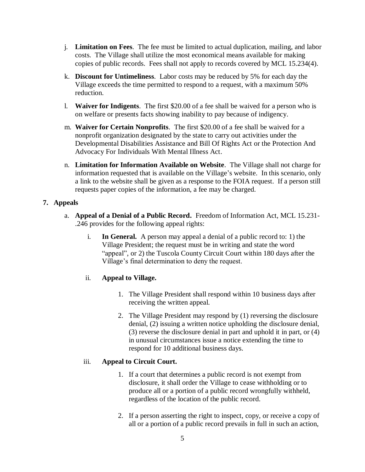- j. **Limitation on Fees**. The fee must be limited to actual duplication, mailing, and labor costs. The Village shall utilize the most economical means available for making copies of public records. Fees shall not apply to records covered by MCL 15.234(4).
- k. **Discount for Untimeliness**. Labor costs may be reduced by 5% for each day the Village exceeds the time permitted to respond to a request, with a maximum 50% reduction.
- l. **Waiver for Indigents**. The first \$20.00 of a fee shall be waived for a person who is on welfare or presents facts showing inability to pay because of indigency.
- m. **Waiver for Certain Nonprofits**. The first \$20.00 of a fee shall be waived for a nonprofit organization designated by the state to carry out activities under the Developmental Disabilities Assistance and Bill Of Rights Act or the Protection And Advocacy For Individuals With Mental Illness Act.
- n. **Limitation for Information Available on Website**. The Village shall not charge for information requested that is available on the Village's website. In this scenario, only a link to the website shall be given as a response to the FOIA request. If a person still requests paper copies of the information, a fee may be charged.

# **7. Appeals**

- a. **Appeal of a Denial of a Public Record.** Freedom of Information Act, MCL 15.231- .246 provides for the following appeal rights:
	- i. **In General.** A person may appeal a denial of a public record to: 1) the Village President; the request must be in writing and state the word "appeal", or 2) the Tuscola County Circuit Court within 180 days after the Village's final determination to deny the request.

# ii. **Appeal to Village.**

- 1. The Village President shall respond within 10 business days after receiving the written appeal.
- 2. The Village President may respond by (1) reversing the disclosure denial, (2) issuing a written notice upholding the disclosure denial, (3) reverse the disclosure denial in part and uphold it in part, or (4) in unusual circumstances issue a notice extending the time to respond for 10 additional business days.

# iii. **Appeal to Circuit Court.**

- 1. If a court that determines a public record is not exempt from disclosure, it shall order the Village to cease withholding or to produce all or a portion of a public record wrongfully withheld, regardless of the location of the public record.
- 2. If a person asserting the right to inspect, copy, or receive a copy of all or a portion of a public record prevails in full in such an action,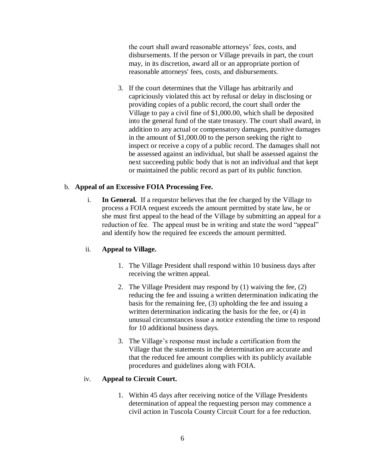the court shall award reasonable attorneys' fees, costs, and disbursements. If the person or Village prevails in part, the court may, in its discretion, award all or an appropriate portion of reasonable attorneys' fees, costs, and disbursements.

3. If the court determines that the Village has arbitrarily and capriciously violated this act by refusal or delay in disclosing or providing copies of a public record, the court shall order the Village to pay a civil fine of \$1,000.00, which shall be deposited into the general fund of the state treasury. The court shall award, in addition to any actual or compensatory damages, punitive damages in the amount of \$1,000.00 to the person seeking the right to inspect or receive a copy of a public record. The damages shall not be assessed against an individual, but shall be assessed against the next succeeding public body that is not an individual and that kept or maintained the public record as part of its public function.

#### b. **Appeal of an Excessive FOIA Processing Fee.**

i. **In General.** If a requestor believes that the fee charged by the Village to process a FOIA request exceeds the amount permitted by state law, he or she must first appeal to the head of the Village by submitting an appeal for a reduction of fee. The appeal must be in writing and state the word "appeal" and identify how the required fee exceeds the amount permitted.

#### ii. **Appeal to Village.**

- 1. The Village President shall respond within 10 business days after receiving the written appeal.
- 2. The Village President may respond by (1) waiving the fee, (2) reducing the fee and issuing a written determination indicating the basis for the remaining fee, (3) upholding the fee and issuing a written determination indicating the basis for the fee, or (4) in unusual circumstances issue a notice extending the time to respond for 10 additional business days.
- 3. The Village's response must include a certification from the Village that the statements in the determination are accurate and that the reduced fee amount complies with its publicly available procedures and guidelines along with FOIA.

#### iv. **Appeal to Circuit Court.**

1. Within 45 days after receiving notice of the Village Presidents determination of appeal the requesting person may commence a civil action in Tuscola County Circuit Court for a fee reduction.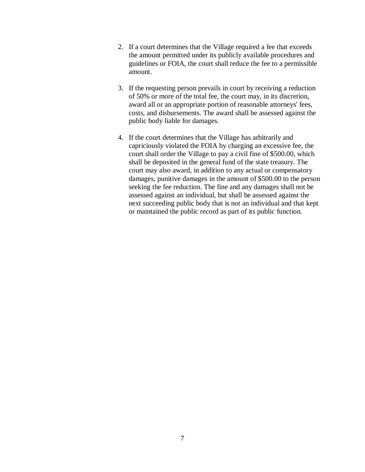- 2. If a court determines that the Village required a fee that exceeds the amount permitted under its publicly available procedures and guidelines or FOIA, the court shall reduce the fee to a permissible amount.
- 3. If the requesting person prevails in court by receiving a reduction of 50% or more of the total fee, the court may, in its discretion, award all or an appropriate portion of reasonable attorneys' fees, costs, and disbursements. The award shall be assessed against the public body liable for damages.
- 4. If the court determines that the Village has arbitrarily and capriciously violated the FOIA by charging an excessive fee, the court shall order the Village to pay a civil fine of \$500.00, which shall be deposited in the general fund of the state treasury. The court may also award, in addition to any actual or compensatory damages, punitive damages in the amount of \$500.00 to the person seeking the fee reduction. The fine and any damages shall not be assessed against an individual, but shall be assessed against the next succeeding public body that is not an individual and that kept or maintained the public record as part of its public function.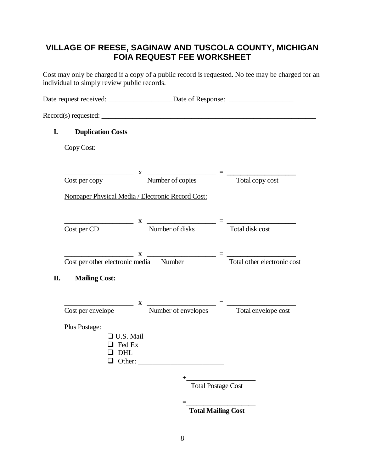# **VILLAGE OF REESE, SAGINAW AND TUSCOLA COUNTY, MICHIGAN FOIA REQUEST FEE WORKSHEET**

Cost may only be charged if a copy of a public record is requested. No fee may be charged for an individual to simply review public records.

|    |                          | Date request received: ______________________Date of Response: __________________                                                                                                                                                                                                                                       |                             |
|----|--------------------------|-------------------------------------------------------------------------------------------------------------------------------------------------------------------------------------------------------------------------------------------------------------------------------------------------------------------------|-----------------------------|
|    |                          |                                                                                                                                                                                                                                                                                                                         |                             |
| I. | <b>Duplication Costs</b> |                                                                                                                                                                                                                                                                                                                         |                             |
|    | Copy Cost:               |                                                                                                                                                                                                                                                                                                                         |                             |
|    |                          | $\frac{x}{x}$ $\frac{y}{x}$ $\frac{y}{x}$ $\frac{z}{y}$ $\frac{z}{y}$ $\frac{z}{y}$ $\frac{z}{y}$ $\frac{z}{y}$ $\frac{z}{y}$ $\frac{z}{y}$ $\frac{z}{y}$ $\frac{z}{y}$ $\frac{z}{z}$ $\frac{z}{z}$ $\frac{z}{z}$ $\frac{z}{z}$ $\frac{z}{z}$ $\frac{z}{z}$ $\frac{z}{z}$ $\frac{z}{z}$ $\frac{z}{z}$ $\frac{z}{z}$ $\$ |                             |
|    | Cost per copy            |                                                                                                                                                                                                                                                                                                                         |                             |
|    |                          | Nonpaper Physical Media / Electronic Record Cost:                                                                                                                                                                                                                                                                       |                             |
|    | Cost per CD              | $X \longrightarrow X$<br>Number of disks                                                                                                                                                                                                                                                                                | Total disk cost             |
|    |                          |                                                                                                                                                                                                                                                                                                                         |                             |
|    |                          | $\frac{x}{\text{Cost per other electronic media}}$ Number $\frac{x}{\text{Total other electronic co}}$                                                                                                                                                                                                                  | Total other electronic cost |
| П. | <b>Mailing Cost:</b>     |                                                                                                                                                                                                                                                                                                                         |                             |
|    |                          | Cost per envelope Mumber of envelopes Total envelope cost                                                                                                                                                                                                                                                               |                             |
|    | Plus Postage:            |                                                                                                                                                                                                                                                                                                                         |                             |
|    | $\Box$ U.S. Mail         |                                                                                                                                                                                                                                                                                                                         |                             |
|    | $\Box$ Fed Ex            |                                                                                                                                                                                                                                                                                                                         |                             |
|    | $\Box$ DHL               |                                                                                                                                                                                                                                                                                                                         |                             |
|    |                          | +<br>Total Postage Cost                                                                                                                                                                                                                                                                                                 |                             |
|    |                          |                                                                                                                                                                                                                                                                                                                         |                             |
|    |                          | $=$                                                                                                                                                                                                                                                                                                                     |                             |

 **Total Mailing Cost**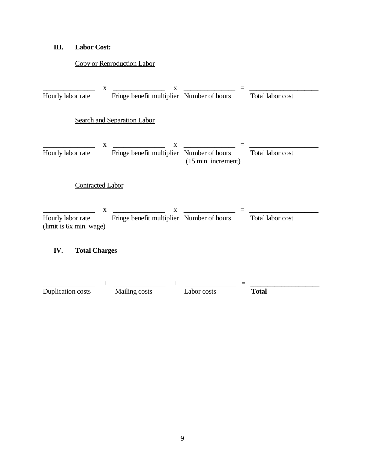# **III. Labor Cost:**

# Copy or Reproduction Labor

|                                              | X           | X                                              |                                        |                  |
|----------------------------------------------|-------------|------------------------------------------------|----------------------------------------|------------------|
| Hourly labor rate                            |             | Fringe benefit multiplier Number of hours      |                                        | Total labor cost |
|                                              |             | <b>Search and Separation Labor</b>             |                                        |                  |
| Hourly labor rate                            | X           | X<br>Fringe benefit multiplier                 | Number of hours<br>(15 min. increment) | Total labor cost |
| <b>Contracted Labor</b>                      |             |                                                |                                        |                  |
| Hourly labor rate<br>(limit is 6x min. wage) | $\mathbf X$ | X<br>Fringe benefit multiplier Number of hours |                                        | Total labor cost |
| IV.<br><b>Total Charges</b>                  |             |                                                |                                        |                  |
| Duplication costs                            |             | Mailing costs                                  | Labor costs                            | <b>Total</b>     |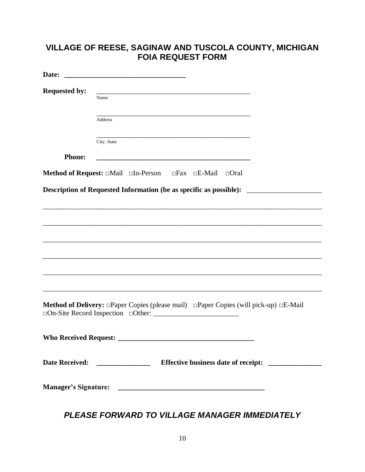# **VILLAGE OF REESE, SAGINAW AND TUSCOLA COUNTY, MICHIGAN FOIA REQUEST FORM**

| Date:                | <u> 1980 - Jan James, martin de la política de la propia de la propia de la propia de la propia de la propia del</u>  |
|----------------------|-----------------------------------------------------------------------------------------------------------------------|
| <b>Requested by:</b> | Name                                                                                                                  |
|                      | Address                                                                                                               |
|                      | City, State                                                                                                           |
| <b>Phone:</b>        | <u> 1989 - Johann Harry Harry Harry Harry Harry Harry Harry Harry Harry Harry Harry Harry Harry Harry Harry Harry</u> |
|                      | Method of Request: $\Box$ Mail $\Box$ In-Person $\Box$ Fax $\Box$ E-Mail $\Box$ Oral                                  |
|                      | Description of Requested Information (be as specific as possible): _________________________________                  |
|                      |                                                                                                                       |
|                      |                                                                                                                       |
|                      |                                                                                                                       |
|                      |                                                                                                                       |
|                      |                                                                                                                       |
|                      |                                                                                                                       |
|                      | <b>Method of Delivery:</b> $\Box$ Paper Copies (please mail) $\Box$ Paper Copies (will pick-up) $\Box$ E-Mail         |
|                      |                                                                                                                       |
|                      |                                                                                                                       |
|                      |                                                                                                                       |

*PLEASE FORWARD TO VILLAGE MANAGER IMMEDIATELY*